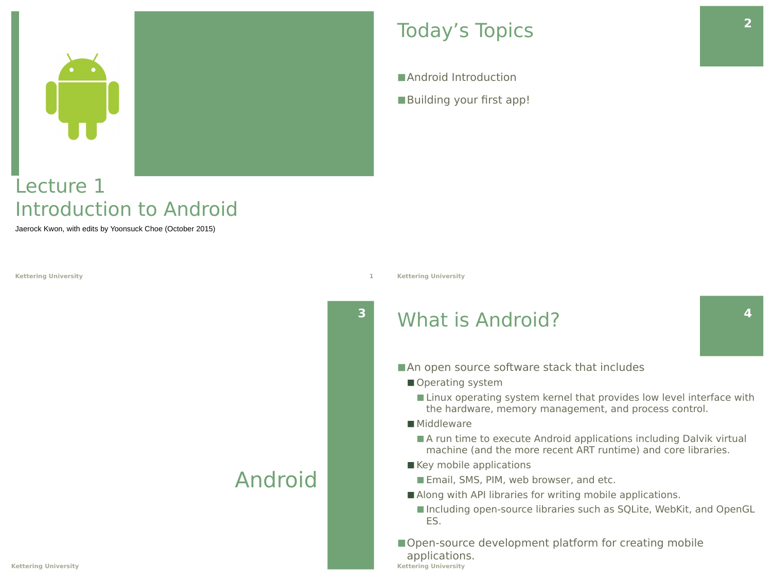

### Lecture 1 Introduction to Android

Jaerock Kwon, with edits by Yoonsuck Choe (October 2015)

**Kettering University 1**

### Android

### Today's Topics

■ Android Introduction ■Building your first app!

**Kettering University**

**3**

### What is Android?

- An open source software stack that includes
	- Operating system
		- Linux operating system kernel that provides low level interface with the hardware, memory management, and process control.
	- Middleware
		- A run time to execute Android applications including Dalvik virtual machine (and the more recent ART runtime) and core libraries.
	- Key mobile applications
		- Email, SMS, PIM, web browser, and etc.
	- Along with API libraries for writing mobile applications.
		- Including open-source libraries such as SQLite, WebKit, and OpenGL ES.
- Open-source development platform for creating mobile applications. **Kettering University**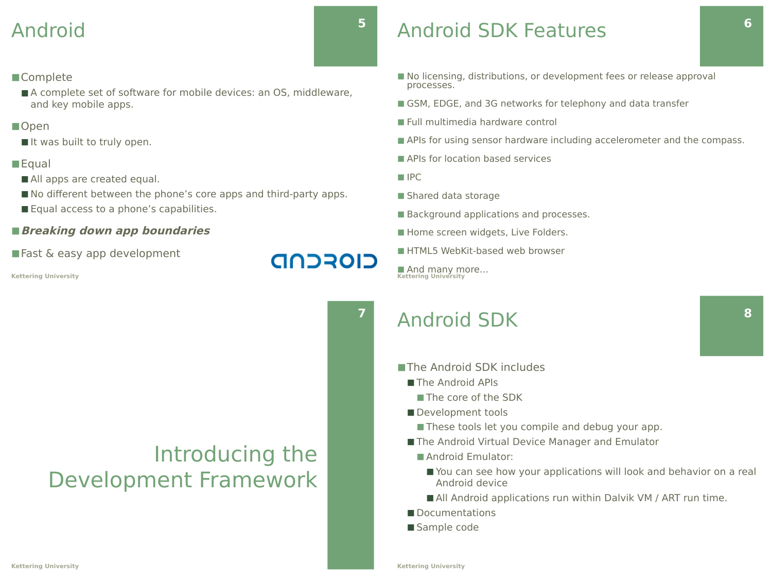### Android

### ■Complete

■ A complete set of software for mobile devices: an OS, middleware, and key mobile apps.

#### ■Open

■ It was built to truly open.

### **■Equal**

- All apps are created equal.
- No different between the phone's core apps and third-party apps.
- Equal access to a phone's capabilities.

#### ■ Breaking down app boundaries

■ Fast & easy app development

#### **Kettering University**

# Introducing the Development Framework

## Android SDK Features

- No licensing, distributions, or development fees or release approval processes.
- GSM, EDGE, and 3G networks for telephony and data transfer
- Full multimedia hardware control
- APIs for using sensor hardware including accelerometer and the compass.
- APIs for location based services
- $\blacksquare$  IPC

**5**

**7**

CIOFCND

- Shared data storage
- Background applications and processes.
- Home screen widgets, Live Folders.
- HTML5 WebKit-based web browser

■ And many more... **Kettering University**

### Android SDK

- ■The Android SDK includes
	- The Android APIs
		- The core of the SDK
	- Development tools
		- These tools let you compile and debug your app.
	- The Android Virtual Device Manager and Emulator
		- Android Emulator:
			- You can see how your applications will look and behavior on a real Android device
			- All Android applications run within Dalvik VM / ART run time.
	- Documentations
	- Sample code

**6**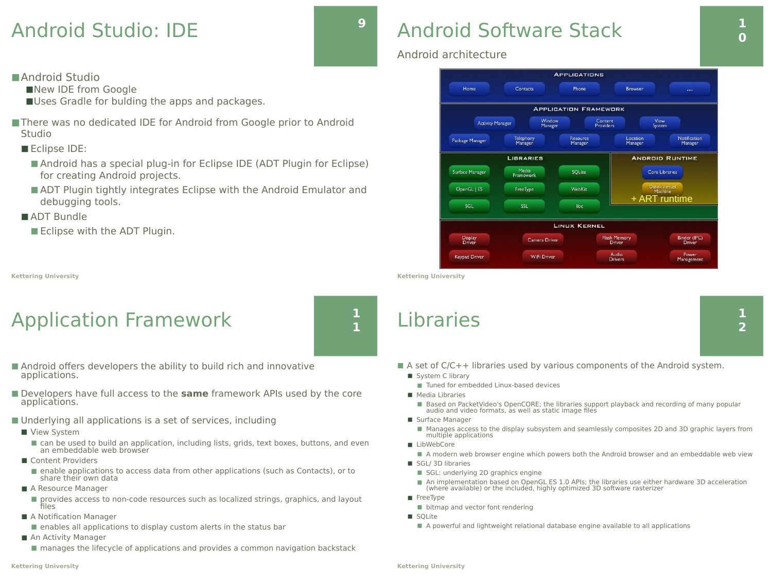### Android Studio: IDE

for creating Android projects.

■ Eclipse with the ADT Plugin.

Application Framework

■Uses Gradle for bulding the apps and packages.

■ There was no dedicated IDE for Android from Google prior to Android

■ Android has a special plug-in for Eclipse IDE (ADT Plugin for Eclipse)

■ ADT Plugin tightly integrates Eclipse with the Android Emulator and

■ Android Studio

■Eclipse IDE:

■ ADT Bundle

**Kettering University**

Studio

■New IDE from Google

debugging tools.



**1 1**

### Android Software Stack **1**

### Android architecture



**Kettering University**

### Libraries

**0**

- Android offers developers the ability to build rich and innovative
- Developers have full access to the **same** framework APIs used by the core applications.
- Underlying all applications is a set of services, including
	- View System

applications.

- can be used to build an application, including lists, grids, text boxes, buttons, and even an embeddable web browser
- Content Providers
	- enable applications to access data from other applications (such as Contacts), or to share their own data
- A Resource Manager
	- provides access to non-code resources such as localized strings, graphics, and layout files
- A Notification Manager
	- enables all applications to display custom alerts in the status bar
- An Activity Manager
	- manages the lifecycle of applications and provides a common navigation backstack

#### **Kettering University**

- A set of C/C++ libraries used by various components of the Android system.
	- System C library
		- Tuned for embedded Linux-based devices
	- Media Libraries
		- Based on PacketVideo's OpenCORE; the libraries support playback and recording of many popular audio and video formats, as well as static image files
	- Surface Manager
		- Manages access to the display subsystem and seamlessly composites 2D and 3D graphic layers from multiple applications
	- LibWebCore
		- A modern web browser engine which powers both the Android browser and an embeddable web view
	- SGL/ 3D libraries
		- SGL: underlying 2D graphics engine
		- An implementation based on OpenGL ES 1.0 APIs; the libraries use either hardware 3D acceleration (where available) or the included, highly optimized 3D software rasterizer
	- FreeType
		- bitmap and vector font rendering
	- SQLite
	- A powerful and lightweight relational database engine available to all applications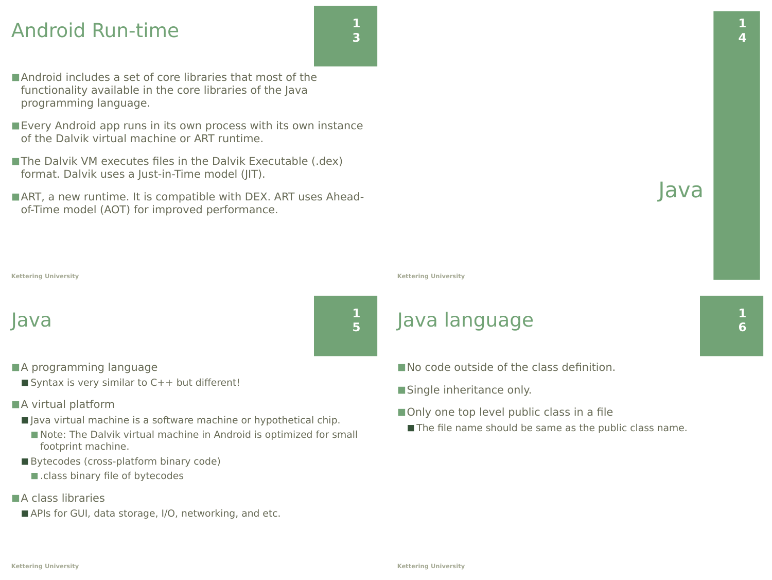### Android Run-time

- ■Android includes a set of core libraries that most of the functionality available in the core libraries of the Java programming language.
- Every Android app runs in its own process with its own instance of the Dalvik virtual machine or ART runtime.
- The Dalvik VM executes files in the Dalvik Executable (.dex) format. Dalvik uses a Just-in-Time model (JIT).
- ART, a new runtime. It is compatible with DEX. ART uses Aheadof-Time model (AOT) for improved performance.

### Java

- ■A programming language
	- $\blacksquare$  Syntax is very similar to  $C++$  but different!
- ■A virtual platform
	- Java virtual machine is a software machine or hypothetical chip.
		- Note: The Dalvik virtual machine in Android is optimized for small footprint machine.
	- Bytecodes (cross-platform binary code)
		- .class binary file of bytecodes
- ■A class libraries
	- APIs for GUI, data storage, I/O, networking, and etc.

**Kettering University**

### Java language

- No code outside of the class definition.
- ■Single inheritance only.
- Only one top level public class in a file
	- The file name should be same as the public class name.

**1 6**

Java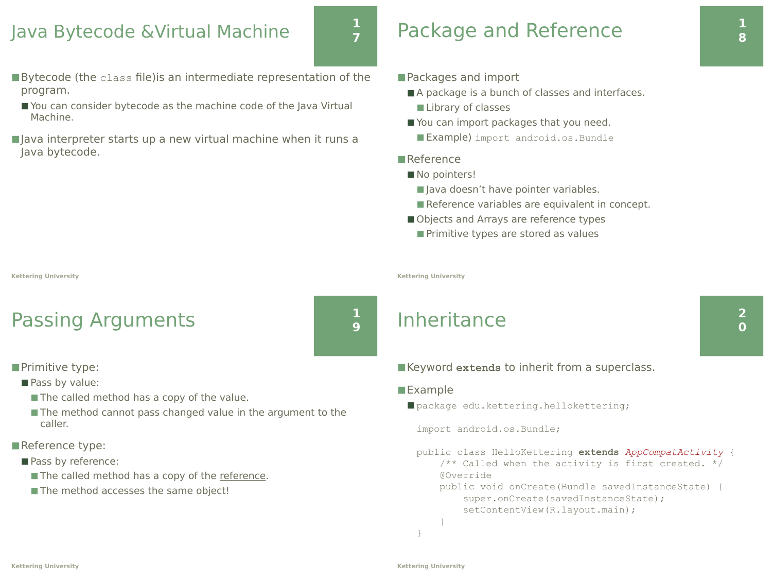### Java Bytecode &Virtual Machine

### **1 7**

**1 9**

- ■Bytecode (the class file) is an intermediate representation of the program.
- You can consider bytecode as the machine code of the Java Virtual Machine.
- Java interpreter starts up a new virtual machine when it runs a Java bytecode.

#### **Kettering University**

### Passing Arguments

■Primitive type:

- Pass by value:
	- The called method has a copy of the value.
	- The method cannot pass changed value in the argument to the caller.
- ■Reference type:
	- Pass by reference:
		- The called method has a copy of the reference.
		- The method accesses the same object!

# Package and Reference

#### ■Packages and import

- A package is a bunch of classes and interfaces.
	- Library of classes
- You can import packages that you need.
	- Example) import android.os. Bundle

### ■Reference

- No pointers!
	- Java doesn't have pointer variables.
	- Reference variables are equivalent in concept.
- Objects and Arrays are reference types
	- Primitive types are stored as values

**Kettering University**

### Inheritance

### ■Keyword extends to inherit from a superclass.

#### ■Example

■ package edu.kettering.hellokettering;

import android.os.Bundle;

public class HelloKettering **extends** *AppCompatActivity* { /\*\* Called when the activity is first created. \*/ @Override public void onCreate(Bundle savedInstanceState) {

 super.onCreate(savedInstanceState); setContentView(R.layout.main);

 } }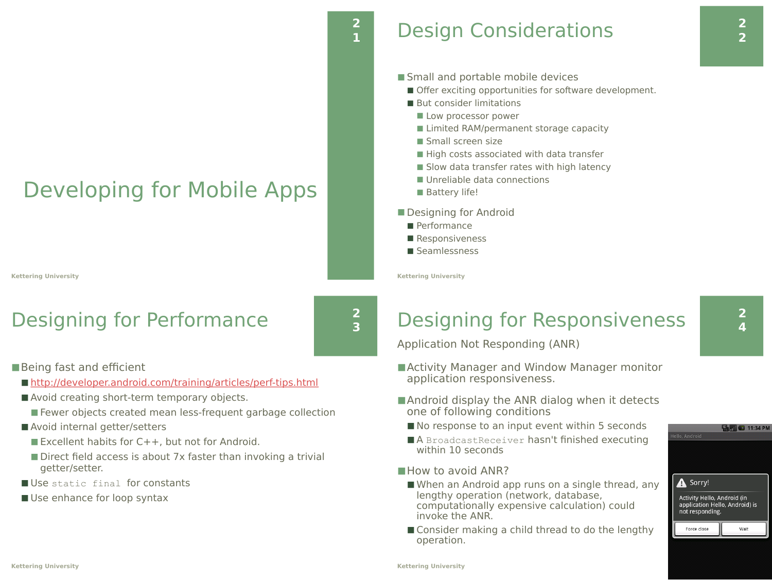# Developing for Mobile Apps

**Kettering University**

## Designing for Performance

**2 3**

**2**

■Being fast and efficient

- http://developer.android.com/training/articles/perf-tips.html
- Avoid creating short-term temporary objects.
	- Fewer objects created mean less-frequent garbage collection
- Avoid internal getter/setters
	- $\blacksquare$  Excellent habits for C++, but not for Android.
	- Direct field access is about 7x faster than invoking a trivial getter/setter.
- Use static final for constants
- Use enhance for loop syntax

### **<sup>1</sup>** Design Considerations

- Small and portable mobile devices
	- Offer exciting opportunities for software development.
	- But consider limitations
		- Low processor power
		- Limited RAM/permanent storage capacity
		- Small screen size
		- High costs associated with data transfer
		- Slow data transfer rates with high latency
		- Unreliable data connections
		- Battery life!
- Designing for Android
	- Performance
- Responsiveness
- Seamlessness

**Kettering University**

## Designing for Responsiveness

Application Not Responding (ANR)

- Activity Manager and Window Manager monitor application responsiveness.
- Android display the ANR dialog when it detects one of following conditions
	- No response to an input event within 5 seconds
	- A BroadcastReceiver hasn't finished executing within 10 seconds

#### ■ How to avoid ANR?

- When an Android app runs on a single thread, any lengthy operation (network, database, computationally expensive calculation) could invoke the ANR.
- Consider making a child thread to do the lengthy operation.

Wait

Force close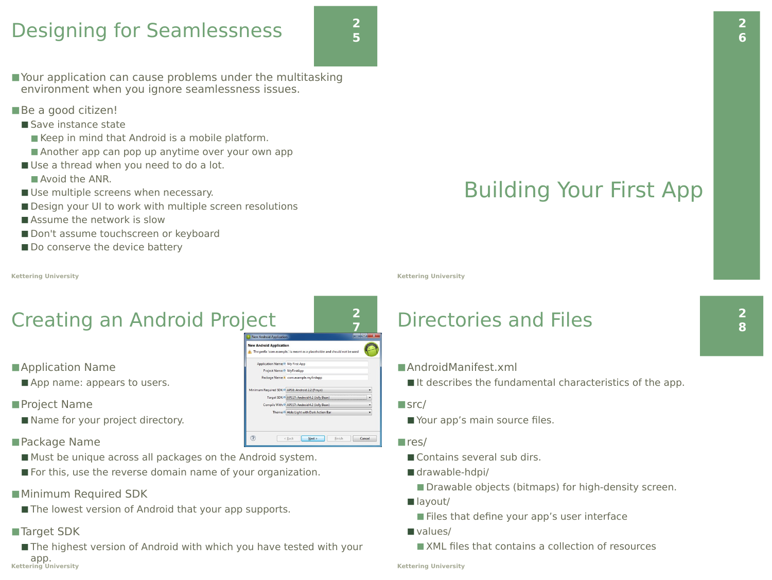### Designing for Seamlessness

- Your application can cause problems under the multitasking environment when you ignore seamlessness issues.
- ■Be a good citizen!
- Save instance state
	- Keep in mind that Android is a mobile platform.
	- Another app can pop up anytime over your own app
- Use a thread when you need to do a lot.
	- Avoid the ANR.
- Use multiple screens when necessary.
- Design your UI to work with multiple screen resolutions
- Assume the network is slow
- Don't assume touchscreen or keyboard
- Do conserve the device battery

#### **Kettering University**

# Creating an Android Project

- Application Name
- App name: appears to users.
- ■Project Name
- Name for your project directory.
- ■Package Name
- Must be unique across all packages on the Android system.
- For this, use the reverse domain name of your organization.
- ■Minimum Required SDK
- The lowest version of Android that your app supports.
- ■Target SDK
- The highest version of Android with which you have tested with your app. **Kettering University**

 $\circledR$ 

#### **2 7** lew Android Application The prefix 'com.example.' is meant as a placeholder and should not be used dication Name: O My First App ect Name: 0 MyFirstApp e & com example myfirstand SDK: 0 API 17: Android 4.2 (Jelly Be API 17: Android 4.2 (Jelly Bean Jolo Light with Dark Action Ra

< Back **Next>** Finish Cancel

**2 5**

Building Your First App

**Kettering University**

### Directories and Files

### ■AndroidManifest.xml

 $\blacksquare$  It describes the fundamental characteristics of the app.

#### $\blacksquare$ src/

■ Your app's main source files.

#### $r$ res/

- Contains several sub dirs.
- drawable-hdpi/
	- Drawable objects (bitmaps) for high-density screen.
- $\blacksquare$  layout/
	- Files that define your app's user interface
- values/

■ XML files that contains a collection of resources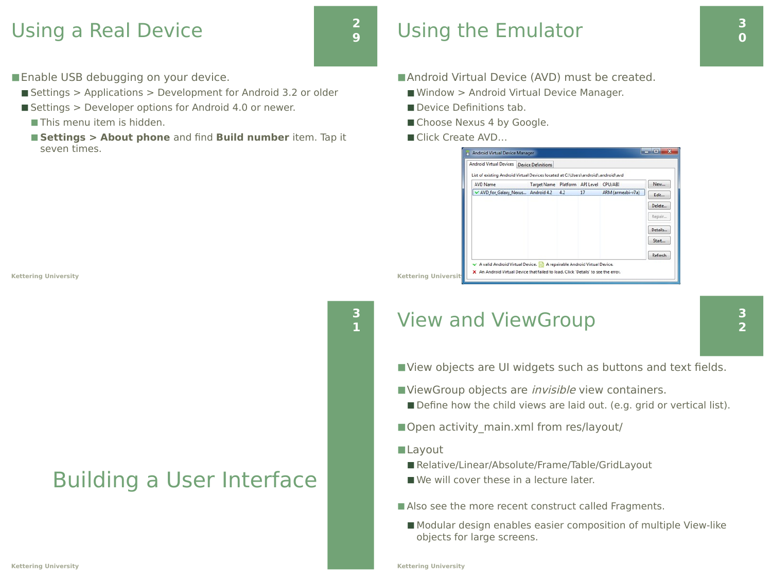### Using a Real Device

**2 9**

**3**

■ Enable USB debugging on your device.

- Settings > Applications > Development for Android 3.2 or older
- $\blacksquare$  Settings > Developer options for Android 4.0 or newer.
	- This menu item is hidden.
	- Settings > About phone and find Build number item. Tap it seven times.

**Kettering University**

## Building a User Interface

### Using the Emulator

- Android Virtual Device (AVD) must be created.
	- Window > Android Virtual Device Manager.
	- Device Definitions tab.
	- Choose Nexus 4 by Google.
	- Click Create AVD...

|                 | Android Virtual Devices Device Definitions                                        |                                        |     |    |                   |         |
|-----------------|-----------------------------------------------------------------------------------|----------------------------------------|-----|----|-------------------|---------|
|                 | List of existing Android Virtual Devices located at C:\Users\android\.android\avd |                                        |     |    |                   |         |
| <b>AVD Name</b> |                                                                                   | Target Name Platform API Level CPU/ABI |     |    |                   | New     |
|                 | V AVD_for_Galaxy_Nexus Android 4.2                                                |                                        | 4.2 | 17 | ARM (armeabi-v7a) | Edit    |
|                 |                                                                                   |                                        |     |    |                   | Delete  |
|                 |                                                                                   |                                        |     |    |                   | Repair  |
|                 |                                                                                   |                                        |     |    |                   | Details |
|                 |                                                                                   |                                        |     |    |                   | Start   |
|                 |                                                                                   |                                        |     |    |                   | Refresh |

### **<sup>1</sup>** View and ViewGroup

■ View objects are UI widgets such as buttons and text fields.

- ■ViewGroup objects are *invisible* view containers.
	- Define how the child views are laid out. (e.g. grid or vertical list).
- Open activity main.xml from res/layout/

#### ■Layout

- Relative/Linear/Absolute/Frame/Table/GridLayout
- We will cover these in a lecture later.
- Also see the more recent construct called Fragments.
	- Modular design enables easier composition of multiple View-like objects for large screens.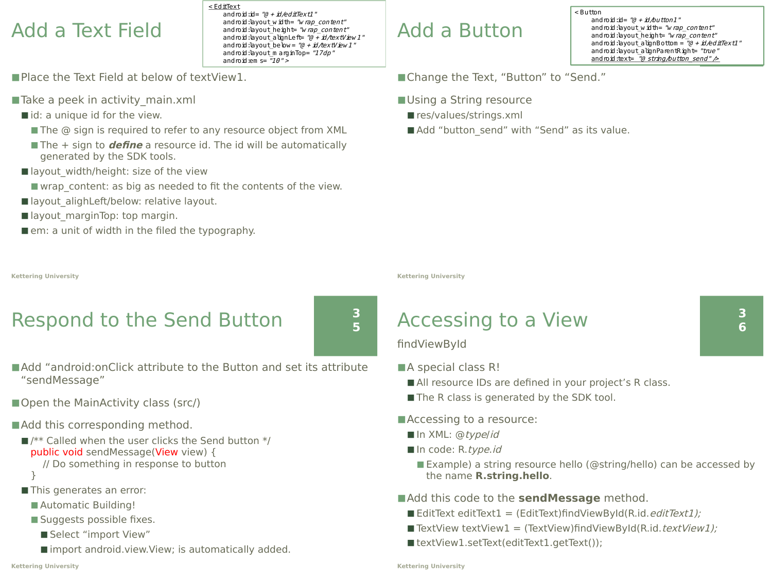### Add a Text Field

android: ayout\_alignLeft= "@ + id/textView 1" < EditText android: $id = "@ + id/ed \#Text1"$ android: layout width= "w rap\_content" android: layout height= "w rap\_content" android: layout below = " $@ + id$ /textView 1" android:layout\_m arginTop= "17dp" and roid:em  $s = \sqrt{T10}$ " >

- Place the Text Field at below of textView1.
- Take a peek in activity main.xml
	- $\blacksquare$  id: a unique id for the view.
		- The @ sign is required to refer to any resource object from XML
		- The + sign to *define* a resource id. The id will be automatically generated by the SDK tools.
	- layout width/height: size of the view
		- $\blacksquare$  wrap content: as big as needed to fit the contents of the view.
	- layout alighLeft/below: relative layout.
	- layout marginTop: top margin.
	- $\blacksquare$  em: a unit of width in the filed the typography.

### Add a Button

android:layout\_he*i*ght= *"w rap\_content"*<br>android:layout\_alignBottom = *"@ + id/editText1 "* < Button android: $\mathbf{d} = \mathbf{a} + \mathbf{i}d\mathbf{b}$ utton $1$ " android:layout\_width= "wrap\_content" android: layout height= "w rap\_content" android: layout\_alignParentRight= "true" android: $text = "a string/button send" >$ 

■Change the Text, "Button" to "Send."

- Using a String resource
	- res/values/strings.xml
	- Add "button\_send" with "Send" as its value.

**Kettering University**

### Accessing to a View

#### ■Add "android:onClick attribute to the Button and set its attribute "sendMessage"

- Open the MainActivity class (src/)
- Add this corresponding method.
	- $\blacksquare$ /\*\* Called when the user clicks the Send button \*/ public void sendMessage(View view) { // Do something in response to button

Respond to the Send Button

}

**Kettering University**

- This generates an error:
	- Automatic Building!
	- Suggests possible fixes.
		- Select "import View"
		- import android. view. View; is automatically added.

### findViewById

- ■A special class R!
	- All resource IDs are defined in your project's R class.
	- The R class is generated by the SDK tool.
- ■Accessing to a resource:
	- $\blacksquare$  In XML: @type/id
	- In code: R.type.id
		- Example) a string resource hello (@string/hello) can be accessed by the name **R.string.hello**.
- ■Add this code to the **sendMessage** method.
	- $\blacksquare$  EditText editText1 = (EditText)findViewById(R.id. *editText1);*
	- TextView textView1 = (TextView)findViewById(R.id.textView1);
	- $\blacksquare$  textView1.setText(editText1.getText());